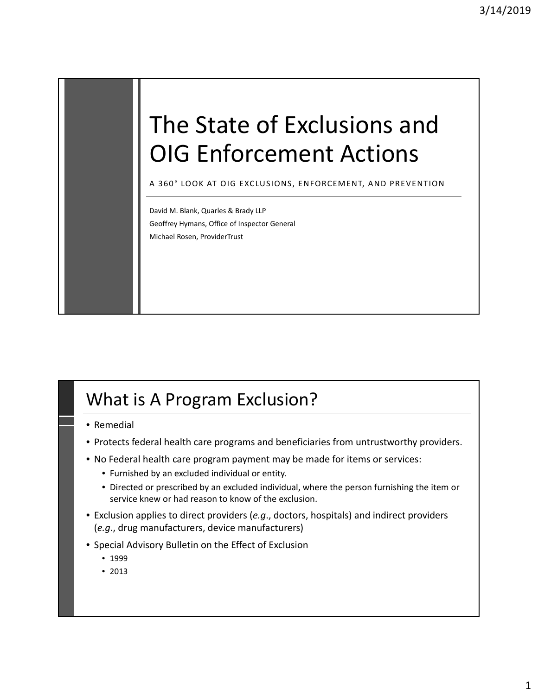# The State of Exclusions and OIG Enforcement Actions

A 360° LOOK AT OIG EXCLUSIONS, ENFORCEMENT, AND PREVENTION

David M. Blank, Quarles & Brady LLP Geoffrey Hymans, Office of Inspector General Michael Rosen, ProviderTrust

# What is A Program Exclusion?

- Remedial
- Protects federal health care programs and beneficiaries from untrustworthy providers.
- No Federal health care program payment may be made for items or services:
	- Furnished by an excluded individual or entity.
	- Directed or prescribed by an excluded individual, where the person furnishing the item or service knew or had reason to know of the exclusion.
- Exclusion applies to direct providers (*e.g*., doctors, hospitals) and indirect providers (*e.g*., drug manufacturers, device manufacturers)
- Special Advisory Bulletin on the Effect of Exclusion
	- 1999
	- 2013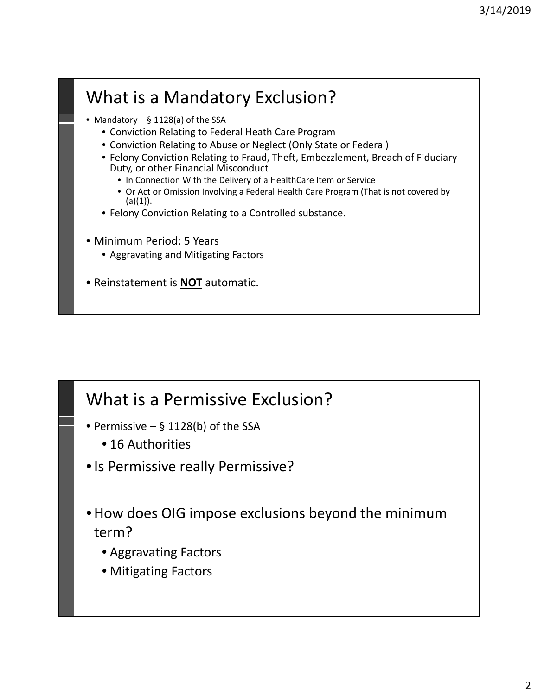# What is a Mandatory Exclusion?

- Mandatory § 1128(a) of the SSA
	- Conviction Relating to Federal Heath Care Program
	- Conviction Relating to Abuse or Neglect (Only State or Federal)
	- Felony Conviction Relating to Fraud, Theft, Embezzlement, Breach of Fiduciary Duty, or other Financial Misconduct
		- In Connection With the Delivery of a HealthCare Item or Service
		- Or Act or Omission Involving a Federal Health Care Program (That is not covered by  $(a)(1)$ ).
	- Felony Conviction Relating to a Controlled substance.
- Minimum Period: 5 Years
	- Aggravating and Mitigating Factors
- Reinstatement is **NOT** automatic.

### What is a Permissive Exclusion?

- Permissive  $-$  § 1128(b) of the SSA
	- 16 Authorities
- •Is Permissive really Permissive?
- •How does OIG impose exclusions beyond the minimum term?
	- Aggravating Factors
	- Mitigating Factors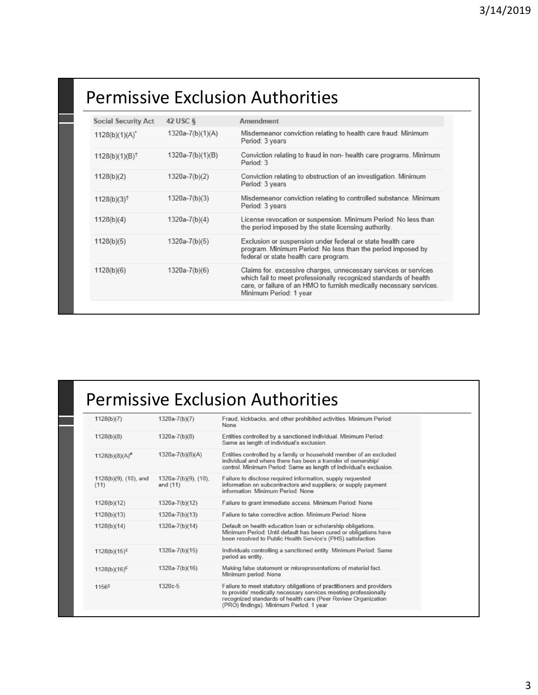# Permissive Exclusion Authorities

| <b>Social Security Act</b> | 42 USC §         | Amendment                                                                                                                                                                                                                            |
|----------------------------|------------------|--------------------------------------------------------------------------------------------------------------------------------------------------------------------------------------------------------------------------------------|
| $1128(b)(1)(A)^{2}$        | 1320a-7(b)(1)(A) | Misdemeanor conviction relating to health care fraud. Minimum<br>Period: 3 years                                                                                                                                                     |
| $1128(b)(1)(B)^{\dagger}$  | 1320a-7(b)(1)(B) | Conviction relating to fraud in non- health care programs. Minimum<br>Period: 3                                                                                                                                                      |
| 1128(b)(2)                 | 1320a-7(b)(2)    | Conviction relating to obstruction of an investigation. Minimum<br>Period: 3 years                                                                                                                                                   |
| $1128(b)(3)$ <sup>†</sup>  | 1320a-7(b)(3)    | Misdemeanor conviction relating to controlled substance. Minimum<br>Period: 3 years                                                                                                                                                  |
| 1128(b)(4)                 | 1320a-7(b)(4)    | License revocation or suspension. Minimum Period: No less than<br>the period imposed by the state licensing authority.                                                                                                               |
| 1128(b)(5)                 | 1320a-7(b)(5)    | Exclusion or suspension under federal or state health care<br>program. Minimum Period: No less than the period imposed by<br>federal or state health care program.                                                                   |
| 1128(b)(6)                 | 1320a-7(b)(6)    | Claims for, excessive charges, unnecessary services or services<br>which fail to meet professionally recognized standards of health<br>care, or failure of an HMO to furnish medically necessary services.<br>Minimum Period: 1 year |
|                            |                  |                                                                                                                                                                                                                                      |

# Permissive Exclusion Authorities

| 1128(b)(8)<br>$1320a-7(b)(8)$<br>Entities controlled by a sanctioned individual. Minimum Period:<br>Same as length of individual's exclusion.<br>1320a-7(b)(8)(A)<br>Entities controlled by a family or household member of an excluded<br>1128(b)(8)(A) <sup>#</sup>               |
|-------------------------------------------------------------------------------------------------------------------------------------------------------------------------------------------------------------------------------------------------------------------------------------|
|                                                                                                                                                                                                                                                                                     |
| individual and where there has been a transfer of ownership/<br>control. Minimum Period: Same as length of individual's exclusion.                                                                                                                                                  |
| Failure to disclose required information, supply requested<br>1128(b)(9), (10), and<br>$1320a-7(b)(9)$ , $(10)$ ,<br>information on subcontractors and suppliers; or supply payment<br>(11)<br>and (11)<br>information. Minimum Period: None                                        |
| 1128(b)(12)<br>1320a-7(b)(12)<br>Failure to grant immediate access. Minimum Period: None                                                                                                                                                                                            |
| 1320a-7(b)(13)<br>Failure to take corrective action. Minimum Period: None<br>1128(b)(13)                                                                                                                                                                                            |
| 1128(b)(14)<br>1320a-7(b)(14)<br>Default on health education loan or scholarship obligations.<br>Minimum Period: Until default has been cured or obligations have<br>been resolved to Public Health Service's (PHS) satisfaction.                                                   |
| Individuals controlling a sanctioned entity. Minimum Period: Same<br>$1320a-7(b)(15)$<br>$1128(b)(15)^{\ddagger}$<br>period as entity.                                                                                                                                              |
| 1320a-7(b)(16)<br>Making false statement or misrepresentations of material fact.<br>$1128(b)(16)^{E}$<br>Minimum period: None                                                                                                                                                       |
| 1320c-5<br>Failure to meet statutory obligations of practitioners and providers<br>1156 <sup>‡</sup><br>to provide' medically necessary services meeting professionally<br>recognized standards of health care (Peer Review Organization<br>(PRO) findings). Minimum Period: 1 year |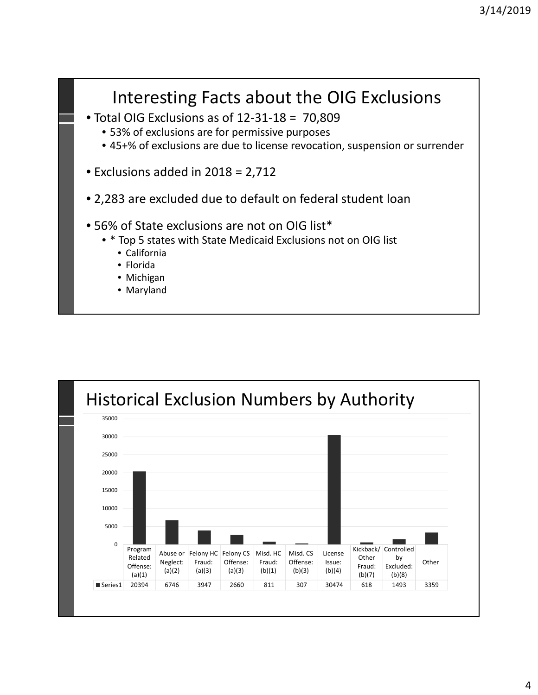

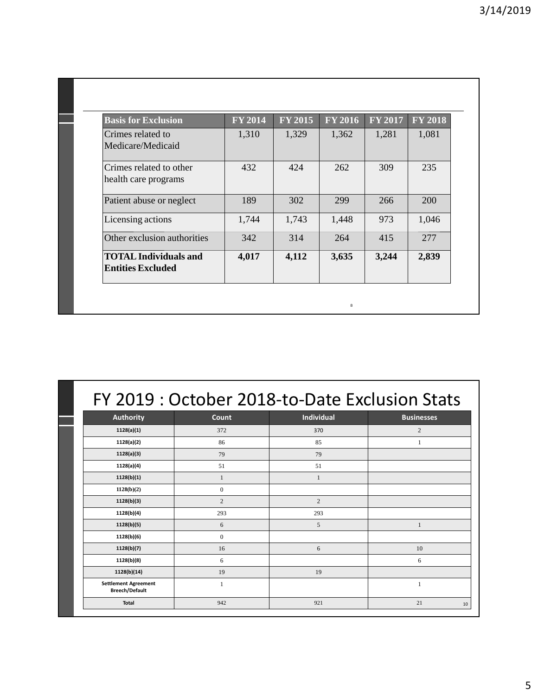| <b>Basis for Exclusion</b>                               | <b>FY 2014</b> | <b>FY 2015</b> | $\overline{\mathrm{FY}2016}$ | <b>FY 2017</b> | <b>FY 2018</b> |
|----------------------------------------------------------|----------------|----------------|------------------------------|----------------|----------------|
| Crimes related to<br>Medicare/Medicaid                   | 1,310          | 1,329          | 1,362                        | 1,281          | 1,081          |
| Crimes related to other<br>health care programs          | 432            | 424            | 262                          | 309            | 235            |
| Patient abuse or neglect                                 | 189            | 302            | 299                          | 266            | 200            |
| Licensing actions                                        | 1,744          | 1,743          | 1,448                        | 973            | 1,046          |
| Other exclusion authorities                              | 342            | 314            | 264                          | 415            | 277            |
| <b>TOTAL Individuals and</b><br><b>Entities Excluded</b> | 4,017          | 4,112          | 3,635                        | 3,244          | 2,839          |

|                                                      |                | FY 2019 : October 2018-to-Date Exclusion Stats |                   |
|------------------------------------------------------|----------------|------------------------------------------------|-------------------|
| <b>Authority</b>                                     | Count          | <b>Individual</b>                              | <b>Businesses</b> |
| 1128(a)(1)                                           | 372            | 370                                            | 2                 |
| 1128(a)(2)                                           | 86             | 85                                             | 1                 |
| 1128(a)(3)                                           | 79             | 79                                             |                   |
| 1128(a)(4)                                           | 51             | 51                                             |                   |
| 1128(b)(1)                                           | 1              | $\mathbf{1}$                                   |                   |
| 1128(b)(2)                                           | $\Omega$       |                                                |                   |
| 1128(b)(3)                                           | $\overline{2}$ | $\overline{c}$                                 |                   |
| 1128(b)(4)                                           | 293            | 293                                            |                   |
| 1128(b)(5)                                           | 6              | 5                                              | 1                 |
| 1128(b)(6)                                           | $\overline{0}$ |                                                |                   |
| 1128(b)(7)                                           | 16             | 6                                              | 10                |
| 1128(b)(8)                                           | 6              |                                                | 6                 |
| 1128(b)(14)                                          | 19             | 19                                             |                   |
| <b>Settlement Agreement</b><br><b>Breech/Default</b> | 1              |                                                |                   |
| <b>Total</b>                                         | 942            | 921                                            | 21<br>10          |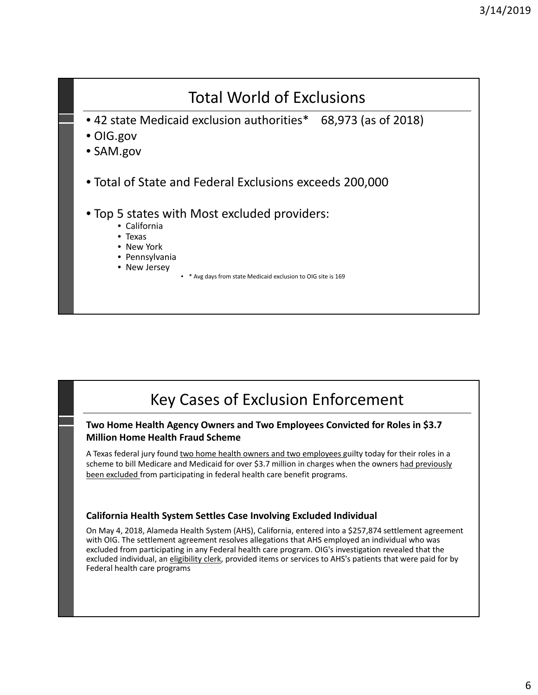

### Key Cases of Exclusion Enforcement

#### **Two Home Health Agency Owners and Two Employees Convicted for Roles in \$3.7 Million Home Health Fraud Scheme**

A Texas federal jury found two home health owners and two employees guilty today for their roles in a scheme to bill Medicare and Medicaid for over \$3.7 million in charges when the owners had previously been excluded from participating in federal health care benefit programs.

#### **California Health System Settles Case Involving Excluded Individual**

On May 4, 2018, Alameda Health System (AHS), California, entered into a \$257,874 settlement agreement with OIG. The settlement agreement resolves allegations that AHS employed an individual who was excluded from participating in any Federal health care program. OIG's investigation revealed that the excluded individual, an eligibility clerk, provided items or services to AHS's patients that were paid for by Federal health care programs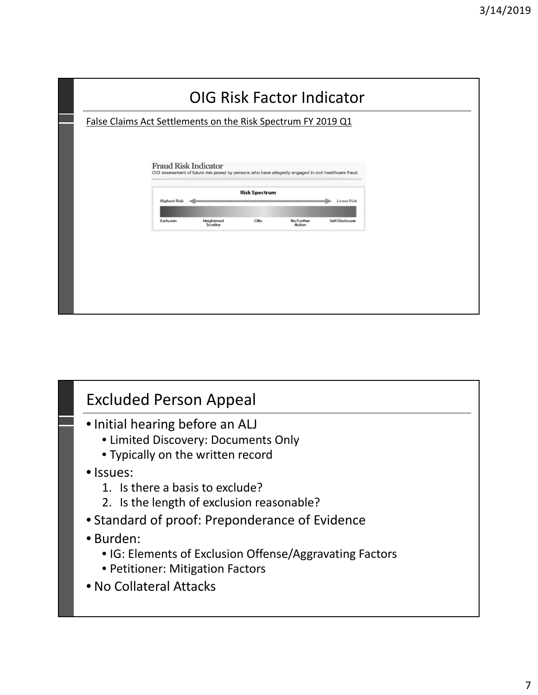|                                                              |                             |                                                                                                      |                      |                             | <b>OIG Risk Factor Indicator</b> |  |
|--------------------------------------------------------------|-----------------------------|------------------------------------------------------------------------------------------------------|----------------------|-----------------------------|----------------------------------|--|
| False Claims Act Settlements on the Risk Spectrum FY 2019 Q1 |                             |                                                                                                      |                      |                             |                                  |  |
|                                                              | <b>Fraud Risk Indicator</b> |                                                                                                      |                      |                             |                                  |  |
|                                                              |                             | OIG assessment of future risk posed by persons who have allegedly engaged in civil healthcare fraud. |                      |                             |                                  |  |
|                                                              | <b>Highest Risk</b>         |                                                                                                      | <b>Risk Spectrum</b> |                             | <b>Lower Risk</b>                |  |
|                                                              | Exclusion                   | Heightened<br>Scrutiny                                                                               | <b>CIAs</b>          | No Further<br><b>Action</b> | Self-Disclosure                  |  |
|                                                              |                             |                                                                                                      |                      |                             |                                  |  |
|                                                              |                             |                                                                                                      |                      |                             |                                  |  |
|                                                              |                             |                                                                                                      |                      |                             |                                  |  |
|                                                              |                             |                                                                                                      |                      |                             |                                  |  |
|                                                              |                             |                                                                                                      |                      |                             |                                  |  |

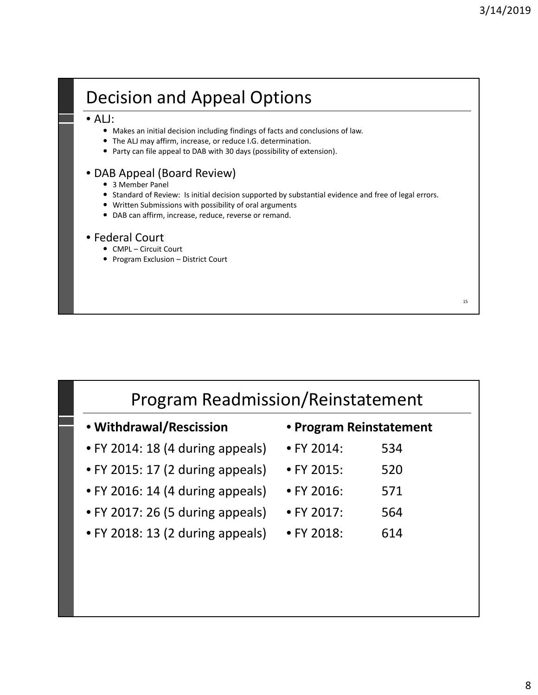15

# Decision and Appeal Options

#### • ALJ:

- Makes an initial decision including findings of facts and conclusions of law.
- The ALJ may affirm, increase, or reduce I.G. determination.
- Party can file appeal to DAB with 30 days (possibility of extension).

#### • DAB Appeal (Board Review)

- 3 Member Panel
- Standard of Review: Is initial decision supported by substantial evidence and free of legal errors.
- Written Submissions with possibility of oral arguments
- DAB can affirm, increase, reduce, reverse or remand.

#### • Federal Court

- CMPL Circuit Court
- Program Exclusion District Court

| <b>Program Readmission/Reinstatement</b> |                         |     |  |  |
|------------------------------------------|-------------------------|-----|--|--|
| • Withdrawal/Rescission                  | • Program Reinstatement |     |  |  |
| • FY 2014: 18 (4 during appeals)         | • FY 2014:              | 534 |  |  |
| • FY 2015: 17 (2 during appeals)         | $\bullet$ FY 2015:      | 520 |  |  |
| • FY 2016: 14 (4 during appeals)         | $\bullet$ FY 2016:      | 571 |  |  |
| • FY 2017: 26 (5 during appeals)         | $\bullet$ FY 2017:      | 564 |  |  |
| • FY 2018: 13 (2 during appeals)         | • FY 2018:              | 614 |  |  |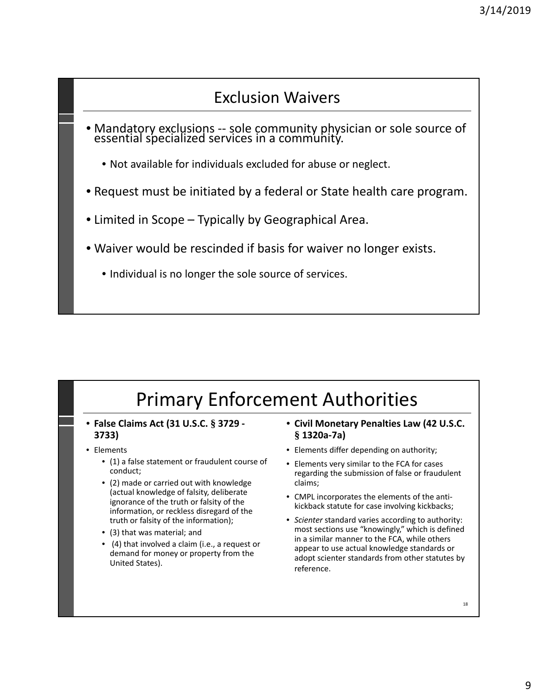### Exclusion Waivers

- Mandatory exclusions -- sole community physician or sole source of essential specialized services in a community.
	- Not available for individuals excluded for abuse or neglect.
- Request must be initiated by a federal or State health care program.
- Limited in Scope Typically by Geographical Area.
- Waiver would be rescinded if basis for waiver no longer exists.
	- Individual is no longer the sole source of services.

# Primary Enforcement Authorities

- **False Claims Act (31 U.S.C. § 3729 ‐ 3733)**
- Elements
	- (1) a false statement or fraudulent course of conduct;
	- (2) made or carried out with knowledge (actual knowledge of falsity, deliberate ignorance of the truth or falsity of the information, or reckless disregard of the truth or falsity of the information);
	- (3) that was material; and
	- (4) that involved a claim (i.e., a request or demand for money or property from the United States).
- **Civil Monetary Penalties Law (42 U.S.C. § 1320a‐7a)**
- Elements differ depending on authority;
- Elements very similar to the FCA for cases regarding the submission of false or fraudulent claims;
- CMPL incorporates the elements of the anti‐ kickback statute for case involving kickbacks;
- *Scienter* standard varies according to authority: most sections use "knowingly," which is defined in a similar manner to the FCA, while others appear to use actual knowledge standards or adopt scienter standards from other statutes by reference.

18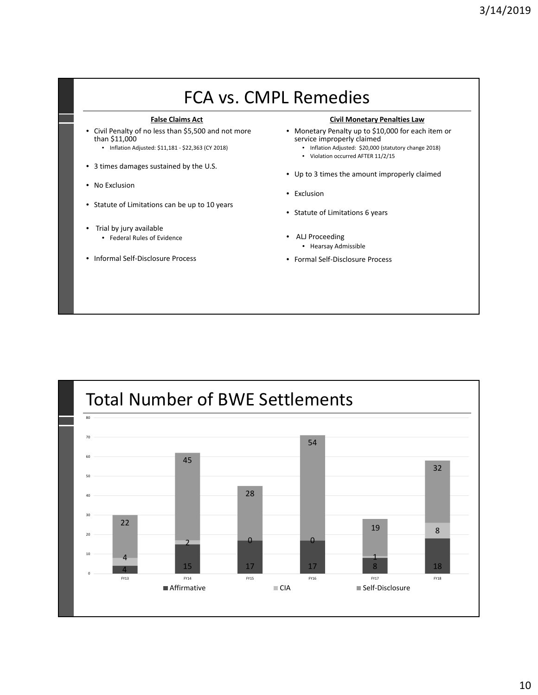#### FCA vs. CMPL Remedies **False Claims Act** • Civil Penalty of no less than \$5,500 and not more than \$11,000 • Inflation Adjusted: \$11,181 ‐ \$22,363 (CY 2018) • 3 times damages sustained by the U.S. • No Exclusion • Statute of Limitations can be up to 10 years • Trial by jury available • Federal Rules of Evidence • Informal Self‐Disclosure Process **Civil Monetary Penalties Law** • Monetary Penalty up to \$10,000 for each item or service improperly claimed • Inflation Adjusted: \$20,000 (statutory change 2018) • Violation occurred AFTER 11/2/15 • Up to 3 times the amount improperly claimed • Exclusion • Statute of Limitations 6 years ALJ Proceeding • Hearsay Admissible • Formal Self‐Disclosure Process

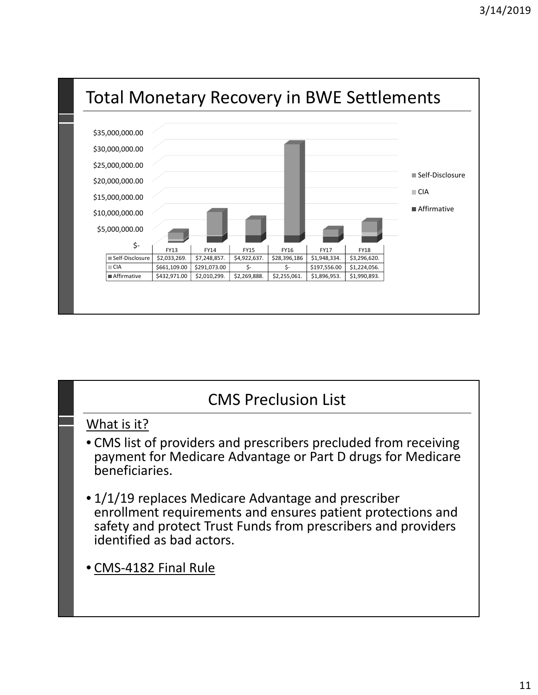

### CMS Preclusion List

#### What is it?

- CMS list of providers and prescribers precluded from receiving payment for Medicare Advantage or Part D drugs for Medicare beneficiaries.
- 1/1/19 replaces Medicare Advantage and prescriber enrollment requirements and ensures patient protections and safety and protect Trust Funds from prescribers and providers identified as bad actors.
- CMS‐4182 Final Rule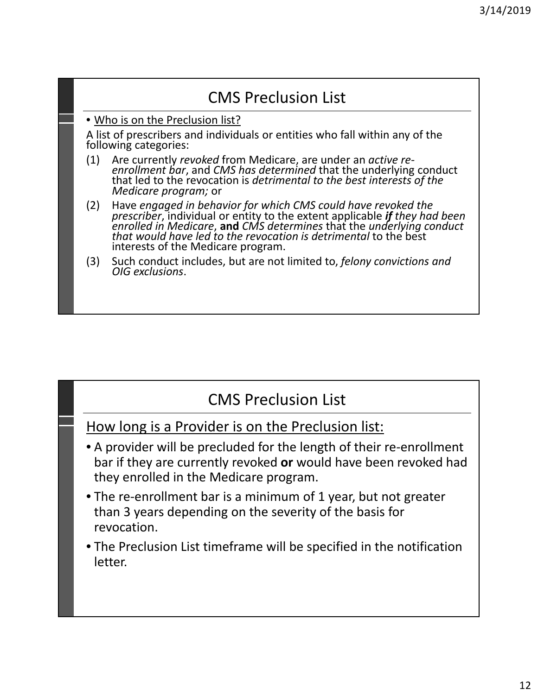### CMS Preclusion List

#### • Who is on the Preclusion list?

A list of prescribers and individuals or entities who fall within any of the following categories:

- (1) Are currently *revoked* from Medicare, are under an *active re‐ enrollment bar*, and *CMS has determined* that the underlying conduct that led to the revocation is *detrimental to the best interests of the Medicare program;* or
- (2) Have *engaged in behavior for which CMS could have revoked the prescriber*, individual or entity to the extent applicable *if they had been enrolled in Medicare*, **and** *CMS determines* that the *underlying conduct that would have led to the revocation is detrimental* to the best interests of the Medicare program.
- (3) Such conduct includes, but are not limited to, *felony convictions and OIG exclusions*.

### CMS Preclusion List

How long is a Provider is on the Preclusion list:

- A provider will be precluded for the length of their re‐enrollment bar if they are currently revoked **or** would have been revoked had they enrolled in the Medicare program.
- The re-enrollment bar is a minimum of 1 year, but not greater than 3 years depending on the severity of the basis for revocation.
- The Preclusion List timeframe will be specified in the notification letter.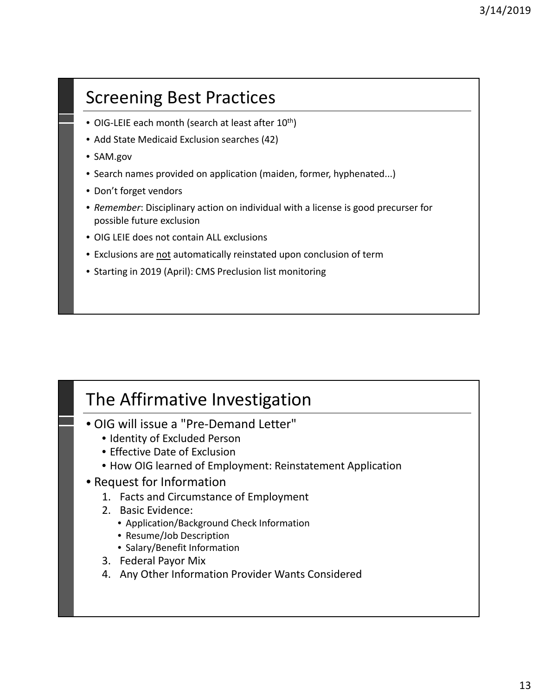# Screening Best Practices

- OIG-LEIE each month (search at least after  $10^{th}$ )
- Add State Medicaid Exclusion searches (42)
- SAM.gov
- Search names provided on application (maiden, former, hyphenated...)
- Don't forget vendors
- *Remember*: Disciplinary action on individual with a license is good precurser for possible future exclusion
- OIG LEIE does not contain ALL exclusions
- Exclusions are not automatically reinstated upon conclusion of term
- Starting in 2019 (April): CMS Preclusion list monitoring

### The Affirmative Investigation

- OIG will issue a "Pre‐Demand Letter"
	- Identity of Excluded Person
	- Effective Date of Exclusion
	- How OIG learned of Employment: Reinstatement Application
- Request for Information
	- 1. Facts and Circumstance of Employment
	- 2. Basic Evidence:
		- Application/Background Check Information
		- Resume/Job Description
		- Salary/Benefit Information
	- 3. Federal Payor Mix
	- 4. Any Other Information Provider Wants Considered